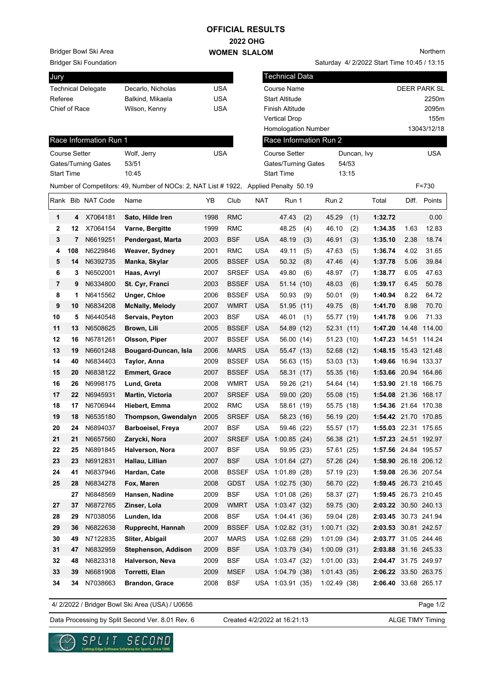## **2022 OHG WOMEN SLALOM OFFICIAL RESULTS**

Bridger Bowl Ski Area

Bridger Ski Foundation

| Jury                      |                   |     |
|---------------------------|-------------------|-----|
| <b>Technical Delegate</b> | Decarlo, Nicholas | USA |
| Referee                   | Balkind, Mikaela  | USA |
| Chief of Race             | Wilson, Kenny     | USA |
|                           |                   |     |

Saturday 4/ 2/2022 Start Time 10:45 / 13:15

| Jury                 |     |                        |                                                                                     |            |              |            | Technical Data             |      |                        |             |                      |      |              |
|----------------------|-----|------------------------|-------------------------------------------------------------------------------------|------------|--------------|------------|----------------------------|------|------------------------|-------------|----------------------|------|--------------|
|                      |     | Technical Delegate     | Decarlo, Nicholas                                                                   | <b>USA</b> |              |            | Course Name                |      |                        |             |                      |      | DEER PARK SL |
| Referee              |     |                        | Balkind, Mikaela                                                                    | <b>USA</b> |              |            | Start Altitude             |      |                        |             |                      |      | 2250m        |
| Chief of Race        |     |                        | Wilson, Kenny                                                                       | <b>USA</b> |              |            | Finish Altitude            |      |                        |             |                      |      | 2095m        |
|                      |     |                        |                                                                                     |            |              |            | <b>Vertical Drop</b>       |      |                        |             |                      |      | 155m         |
|                      |     |                        |                                                                                     |            |              |            | <b>Homologation Number</b> |      |                        |             |                      |      | 13043/12/18  |
|                      |     | Race Information Run 1 |                                                                                     |            |              |            |                            |      | Race Information Run 2 |             |                      |      |              |
| <b>Course Setter</b> |     |                        | Wolf, Jerry                                                                         | <b>USA</b> |              |            | <b>Course Setter</b>       |      |                        | Duncan, Ivy |                      |      | <b>USA</b>   |
|                      |     | Gates/Turning Gates    | 53/51                                                                               |            |              |            | <b>Gates/Turning Gates</b> |      |                        | 54/53       |                      |      |              |
| <b>Start Time</b>    |     |                        | 10:45                                                                               |            |              |            | <b>Start Time</b>          |      |                        | 13:15       |                      |      |              |
|                      |     |                        | Number of Competitors: 49, Number of NOCs: 2, NAT List #1922, Applied Penalty 50.19 |            |              |            |                            |      |                        |             |                      |      | F=730        |
|                      |     | Rank Bib NAT Code      | Name                                                                                | YΒ         | Club         | <b>NAT</b> | Run 1                      |      | Run 2                  |             | Total                |      | Diff. Points |
| 1                    | 4   | X7064181               | Sato, Hilde Iren                                                                    | 1998       | <b>RMC</b>   |            | 47.43                      | (2)  | 45.29                  | (1)         | 1:32.72              |      | 0.00         |
| 2                    | 12  | X7064154               | Varne, Bergitte                                                                     | 1999       | <b>RMC</b>   |            | 48.25                      | (4)  | 46.10                  | (2)         | 1:34.35              | 1.63 | 12.83        |
| 3                    | 7   | N6619251               | Pendergast, Marta                                                                   | 2003       | <b>BSF</b>   | <b>USA</b> | 48.19                      | (3)  | 46.91                  | (3)         | 1:35.10              | 2.38 | 18.74        |
| 4                    | 108 | N6229846               | Weaver, Sydney                                                                      | 2001       | <b>RMC</b>   | <b>USA</b> | 49.11                      | (5)  | 47.63                  | (5)         | 1:36.74              | 4.02 | 31.65        |
| 5                    | 14  | N6392735               | Manka, Skylar                                                                       | 2005       | <b>BSSEF</b> | <b>USA</b> | 50.32                      | (8)  | 47.46                  | (4)         | 1:37.78              | 5.06 | 39.84        |
| 6                    | 3   | N6502001               | Haas, Avryl                                                                         | 2007       | <b>SRSEF</b> | <b>USA</b> | 49.80                      | (6)  | 48.97                  | (7)         | 1:38.77              | 6.05 | 47.63        |
| $\overline{7}$       | 9   | N6334800               | St. Cyr, Franci                                                                     | 2003       | <b>BSSEF</b> | <b>USA</b> | 51.14                      | (10) | 48.03                  | (6)         | 1:39.17              | 6.45 | 50.78        |
| 8                    | 1   | N6415562               | Unger, Chloe                                                                        | 2006       | <b>BSSEF</b> | <b>USA</b> | 50.93                      | (9)  | 50.01                  | (9)         | 1:40.94              | 8.22 | 64.72        |
| 9                    | 10  | N6834208               | <b>McNally, Melody</b>                                                              | 2007       | <b>WMRT</b>  | <b>USA</b> | 51.95 (11)                 |      | 49.75                  | (8)         | 1:41.70              | 8.98 | 70.70        |
| 10                   | 5   | N6440548               | Servais, Peyton                                                                     | 2003       | <b>BSF</b>   | <b>USA</b> | 46.01                      | (1)  | 55.77 (19)             |             | 1:41.78              | 9.06 | 71.33        |
| 11                   | 13  | N6508625               | Brown, Lili                                                                         | 2005       | <b>BSSEF</b> | <b>USA</b> | 54.89 (12)                 |      | 52.31(11)              |             | 1:47.20              |      | 14.48 114.00 |
| 12                   | 16  | N6781261               | Olsson, Piper                                                                       | 2007       | <b>BSSEF</b> | <b>USA</b> | 56.00 (14)                 |      | 51.23(10)              |             | 1:47.23              |      | 14.51 114.24 |
| 13                   | 19  | N6601248               | Bougard-Duncan, Isla                                                                | 2006       | <b>MARS</b>  | <b>USA</b> | 55.47 (13)                 |      | 52.68 (12)             |             | 1:48.15 15.43 121.48 |      |              |
| 14                   | 40  | N6834403               | Taylor, Anna                                                                        | 2009       | <b>BSSEF</b> | <b>USA</b> | 56.63 (15)                 |      | 53.03 (13)             |             | 1:49.66 16.94 133.37 |      |              |
| 15                   | 20  | N6838122               | <b>Emmert, Grace</b>                                                                | 2007       | <b>BSSEF</b> | <b>USA</b> | 58.31 (17)                 |      | 55.35 (16)             |             | 1:53.66 20.94 164.86 |      |              |
| 16                   | 26  | N6998175               | Lund, Greta                                                                         | 2008       | <b>WMRT</b>  | <b>USA</b> | 59.26 (21)                 |      | 54.64 (14)             |             | 1:53.90 21.18 166.75 |      |              |
| 17                   | 22  | N6945931               | <b>Martin, Victoria</b>                                                             | 2007       | <b>SRSEF</b> | <b>USA</b> | 59.00 (20)                 |      | 55.08 (15)             |             | 1:54.08 21.36 168.17 |      |              |
| 18                   | 17  | N6706944               | Hiebert, Emma                                                                       | 2002       | <b>RMC</b>   | <b>USA</b> | 58.61 (19)                 |      | 55.75 (18)             |             | 1:54.36 21.64 170.38 |      |              |
| 19                   | 18  | N6535180               | Thompson, Gwendalyn                                                                 | 2005       | <b>SRSEF</b> | <b>USA</b> | 58.23 (16)                 |      | 56.19 (20)             |             | 1:54.42 21.70 170.85 |      |              |
| 20                   | 24  | N6894037               | <b>Barboeisel, Freya</b>                                                            | 2007       | <b>BSF</b>   | <b>USA</b> | 59.46 (22)                 |      | 55.57 (17)             |             | 1:55.03 22.31 175.65 |      |              |
| 21                   | 21  | N6657560               | Zarycki, Nora                                                                       | 2007       |              |            | SRSEF USA 1:00.85 (24)     |      | 56.38 (21)             |             | 1:57.23 24.51 192.97 |      |              |
| 22                   | 25  | N6891845               | Halverson, Nora                                                                     | 2007       | <b>BSF</b>   | <b>USA</b> | 59.95 (23)                 |      | 57.61 (25)             |             | 1:57.56 24.84 195.57 |      |              |
| 23                   | 23  | N6912831               | Hallau, Lillian                                                                     | 2007       | <b>BSF</b>   |            | USA 1:01.64 (27)           |      | 57.26 (24)             |             | 1:58.90 26.18 206.12 |      |              |
| 24                   | 41  | N6837946               | Hardan, Cate                                                                        | 2008       | <b>BSSEF</b> |            | USA 1:01.89 (28)           |      | 57.19 (23)             |             | 1:59.08 26.36 207.54 |      |              |
| 25                   | 28  | N6834278               | Fox, Maren                                                                          | 2008       | <b>GDST</b>  |            | USA 1:02.75 (30)           |      | 56.70 (22)             |             | 1:59.45 26.73 210.45 |      |              |
|                      | 27  | N6848569               | Hansen, Nadine                                                                      | 2009       | <b>BSF</b>   |            | USA 1:01.08 (26)           |      | 58.37 (27)             |             | 1:59.45 26.73 210.45 |      |              |
| 27                   | 37  | N6872765               | Zinser, Lola                                                                        | 2009       | <b>WMRT</b>  |            | USA 1:03.47 (32)           |      | 59.75 (30)             |             | 2:03.22 30.50 240.13 |      |              |
| 28                   | 29  | N7038056               | Lunden, Ida                                                                         | 2008       | <b>BSF</b>   |            | USA 1:04.41 (36)           |      | 59.04 (28)             |             | 2:03.45 30.73 241.94 |      |              |
|                      |     |                        |                                                                                     | 2009       |              |            | USA 1:02.82 (31)           |      |                        |             |                      |      |              |
| 29                   | 36  | N6822638               | Rupprecht, Hannah                                                                   |            | <b>BSSEF</b> |            |                            |      | 1:00.71(32)            |             | 2:03.53 30.81 242.57 |      |              |
| 30                   | 49  | N7122835               | Sliter, Abigail                                                                     | 2007       | <b>MARS</b>  |            | USA 1:02.68 (29)           |      | 1:01.09(34)            |             | 2:03.77 31.05 244.46 |      |              |
| 31                   | 47  | N6832959               | Stephenson, Addison                                                                 | 2009       | <b>BSF</b>   |            | USA 1:03.79 (34)           |      | 1:00.09(31)            |             | 2:03.88 31.16 245.33 |      |              |
| 32                   | 48  | N6823318               | Halverson, Neva                                                                     | 2009       | <b>BSF</b>   |            | USA 1:03.47 (32)           |      | 1:01.00(33)            |             | 2:04.47 31.75 249.97 |      |              |
| 33                   | 39  | N6681908               | Torretti, Elan                                                                      | 2009       | <b>MSEF</b>  |            | USA 1:04.79 (38)           |      | 1:01.43(35)            |             | 2:06.22 33.50 263.75 |      |              |
| 34                   | 34  | N7038663               | <b>Brandon, Grace</b>                                                               | 2008       | <b>BSF</b>   |            | USA 1:03.91 (35)           |      | 1:02.49(38)            |             | 2:06.40 33.68 265.17 |      |              |

4/ 2/2022 / Bridger Bowl Ski Area (USA) / U0656

Page 1/2

Data Processing by Split Second Ver. 8.01 Rev. 6 Created 4/2/2022 at 16:21:13 ALGE TIMY Timing

Created 4/2/2022 at 16:21:13